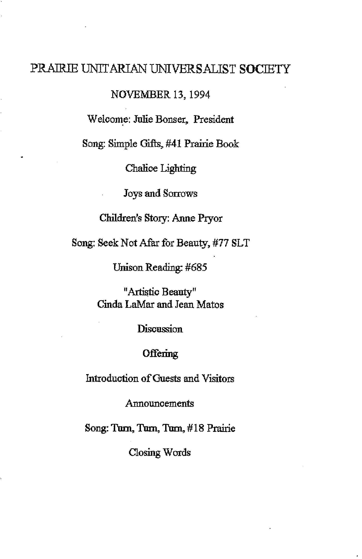## PRAIRlE UNITARIAN UNIVERSALIST SOCIETY

NOVEMBER 13, 1994

Welcome: Julie Bonser, President

Song: Simple Gifts, #41 Prairie Book

Chalice Lighting

Joys and Sorrows

Children's Story: Anne Pryor

Song: Seek Not Afar for Beauty, #77 SLT

Unison Reading; #685

"Artistic Beauty" Cinda LaMar and Jean Matos

Discussion

## **Offering**

Introduction of Guests and Visitors

Announcements

Song: Tom, Tom, Tom,# 18 Prairie

Closing Words